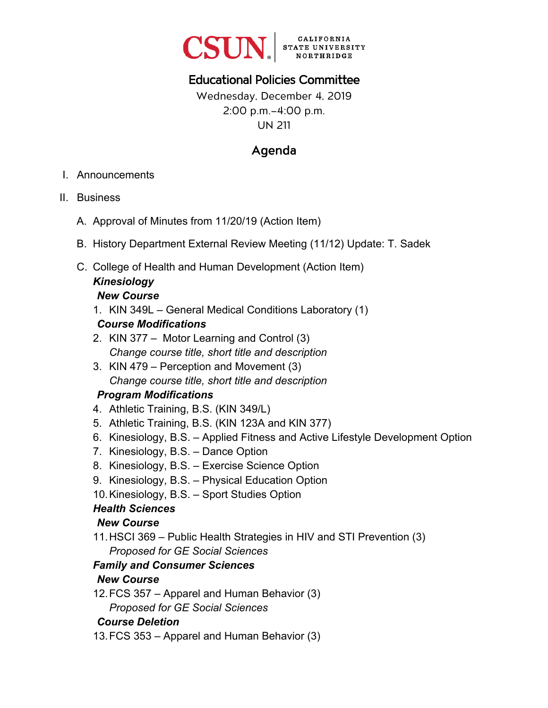

# Educational Policies Committee

### Wednesday, December 4, 2019 2:00 p.m.–4:00 p.m. UN 211

## Agenda

- I. Announcements
- II. Business
	- A. Approval of Minutes from 11/20/19 (Action Item)
	- B. History Department External Review Meeting (11/12) Update: T. Sadek
	- C. College of Health and Human Development (Action Item) *Kinesiology*

#### *New Course*

1. KIN 349L – General Medical Conditions Laboratory (1)

#### *Course Modifications*

- 2. KIN 377 Motor Learning and Control (3) *Change course title, short title and description*
- 3. KIN 479 Perception and Movement (3) *Change course title, short title and description*

#### *Program Modifications*

- 4. Athletic Training, B.S. (KIN 349/L)
- 5. Athletic Training, B.S. (KIN 123A and KIN 377)
- 6. Kinesiology, B.S. Applied Fitness and Active Lifestyle Development Option
- 7. Kinesiology, B.S. Dance Option
- 8. Kinesiology, B.S. Exercise Science Option
- 9. Kinesiology, B.S. Physical Education Option
- 10. Kinesiology, B.S. Sport Studies Option

#### *Health Sciences*

#### *New Course*

11.HSCI 369 – Public Health Strategies in HIV and STI Prevention (3) *Proposed for GE Social Sciences* 

## *Family and Consumer Sciences*

#### *New Course*

12. FCS 357 – Apparel and Human Behavior (3) *Proposed for GE Social Sciences*

#### *Course Deletion*

13. FCS 353 – Apparel and Human Behavior (3)